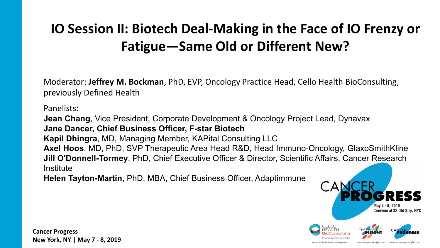# **IO Session II: Biotech Deal-Making in the Face of IO Frenzy or Fatigue—Same Old or Different New?**

Moderator: **Jeffrey M. Bockman**, PhD, EVP, Oncology Practice Head, Cello Health BioConsulting, previously Defined Health

Panelists:

**Jean Chang**, Vice President, Corporate Development & Oncology Project Lead, Dynavax **Jane Dancer, Chief Business Officer, F-star Biotech Kapil Dhingra**, MD, Managing Member, KAPital Consulting LLC **Axel Hoos**, MD, PhD, SVP Therapeutic Area Head R&D, Head Immuno-Oncology, GlaxoSmithKline **Jill O'Donnell-Tormey**, PhD, Chief Executive Officer & Director, Scientific Affairs, Cancer Research **Institute** 

**Helen Tayton-Martin**, PhD, MBA, Chief Business Officer, Adaptimmune



www.therapeuticinsight.com

www.cancerprogresshyDH.c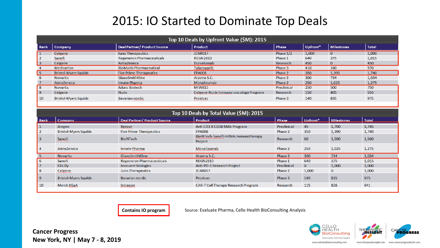#### 2015: IO Started to Dominate Top Deals

|            | Top 10 Deals by Upfront Value (\$M): 2015 |                                |                                       |             |          |                   |              |  |  |
|------------|-------------------------------------------|--------------------------------|---------------------------------------|-------------|----------|-------------------|--------------|--|--|
| Rank       | <b>Company</b>                            | Deal Partner/ Product Source   | Product                               | Phase       | Upfront* | <b>Milestones</b> | <b>Total</b> |  |  |
| 1          | Celgene                                   | Juno Therapeutics              | JCAR017                               | Phase 1/2   | 1,000    | $\mathbf{0}$      | 1,000        |  |  |
|            | Sanofi                                    | Regeneron Pharmaceuticals      | <b>REGN2810</b>                       | Phase 1     | 640      | 375               | 1,015        |  |  |
| $\vert$ 3  | Celgene                                   | AstraZeneca                    | Durvalumab                            | Research    | 450      | -0                | 450          |  |  |
|            | Medivation                                | <b>BioMarin Pharmaceutical</b> | Talazoparib                           | Phase 3     | 410      | 160               | 570          |  |  |
| l 5        | <b>Bristol-Myers Squibb</b>               | <b>Five Prime Therapeutics</b> | <b>FPA008</b>                         | Phase 2     | 350      | 1,390             | 1.740        |  |  |
|            | <b>Novartis</b>                           | GlaxoSmithKline                | Arzerra S.C.                          | Phase 3     | 300      | 734               | 1,034        |  |  |
|            | AstraZeneca                               | Innate Pharma                  | Monalizumab                           | Phase 2     | 250      | 1,025             | 1,275        |  |  |
| 8          | <b>Novartis</b>                           | <b>Aduro Biotech</b>           | <b>MIW815</b>                         | Preclinical | 250      | 500               | 750          |  |  |
| 9          | Celgene                                   | <b>Nurix</b>                   | Celgene-Nurix Immuno-oncology Program | Research    | 150      | 405               | 555          |  |  |
| $\vert$ 10 | <b>Bristol-Myers Squibb</b>               | Bavarian nordic                | Prostvac                              | Phase 3     | 140      | 835               | 975          |  |  |

|                | Top 10 Deals by Total Value (\$M): 2015 |                                  |                                               |             |              |              |       |  |  |
|----------------|-----------------------------------------|----------------------------------|-----------------------------------------------|-------------|--------------|--------------|-------|--|--|
| Rank           | Company                                 | Deal Partner/ Product Source     | <b>Product</b>                                | Phase       | Upfront*     | Milestones   | Total |  |  |
| 1              | Amgen                                   | <b>Xencor</b>                    | Anti CD3 X CD38 MAb Program                   | Preclinical | 45           | 1,700        | 1,745 |  |  |
| $\overline{2}$ | <b>Bristol-Myers Squibb</b>             | <b>Five Prime Therapeutics</b>   | <b>FPA008</b>                                 | Phase 2     | 350          | 1,390        | 1,740 |  |  |
| l 3            | Sanofi                                  | <b>BioNTech</b>                  | BioNTech-Sanofi mRNA Immunotherapy<br>Project | Research    | 60           | 1,500        | 1,560 |  |  |
| l 4            | AstraZeneca                             | Innate Pharma                    | Monalizumab                                   | Phase 2     | 250          | 1,025        | 1,275 |  |  |
| -5             | <b>Novartis</b>                         | GlaxoSmithKline                  | Arzerra S.C.                                  | Phase 3     | 300          | 734          | 1,034 |  |  |
| 6              | Sanofi                                  | <b>Regeneron Pharmaceuticals</b> | <b>REGN2810</b>                               | Phase 1     | 640          | 375          | 1,015 |  |  |
| $\overline{7}$ | Eli Lilly                               | <b>Innovent Biologics</b>        | Anti-PD-1 Research Project                    | Preclinical | $\mathbf{0}$ | 1,000        | 1,000 |  |  |
| 8              | Celgene                                 | Juno Therapeutics                | JCAR017                                       | Phase 2     | 1,000        | $\mathbf{0}$ | 1,000 |  |  |
| <u>9</u>       | <b>Bristol-Myers Squibb</b>             | Bavarian nordic                  | Prostvac                                      | Phase 3     | 140          | 835          | 975   |  |  |
| 10             | Merck KGaA                              | Intrexon                         | <b>CAR-T Cell Therapy Research Program</b>    | Research    | 115          | 826          | 941   |  |  |
|                |                                         |                                  |                                               |             |              |              |       |  |  |

**Contains IO program** Source: Evaluate Pharma, Cello Health BioConsulting Analysis

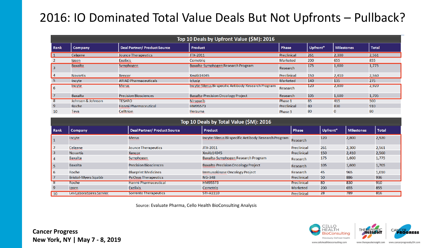### 2016: IO Dominated Total Value Deals But Not Upfronts – Pullback?

|              | Top 10 Deals by Upfront Value (\$M): 2016 |                                     |                                                    |                 |          |                   |              |  |  |
|--------------|-------------------------------------------|-------------------------------------|----------------------------------------------------|-----------------|----------|-------------------|--------------|--|--|
| Rank         | Company                                   | <b>Deal Partner/ Product Source</b> | Product                                            | Phase           | Upfront* | <b>Milestones</b> | <b>Total</b> |  |  |
| $\mathbf{1}$ | Celgene                                   | <b>Jounce Therapeutics</b>          | JTX-2011                                           | Preclinical     | 261      | 2,300             | 2,561        |  |  |
|              | Ipsen                                     | <b>Exelixis</b>                     | Cometria                                           | <b>Marketed</b> | 200      | 655               | 855          |  |  |
| l 3          | <b>Baxalta</b>                            | Symphogen                           | Baxalta-Symphogen Research Program                 | Research        | 175      | 1,600             | 1,775        |  |  |
| 4            | <b>Novartis</b>                           | Xencor                              | XmAb14045                                          | Preclinical     | 150      | 2,410             | 2,560        |  |  |
| -5           | Incyte                                    | <b>ARIAD Pharmaceuticals</b>        | <b>Iclusig</b>                                     | <b>Marketed</b> | 140      | 135               | 275          |  |  |
| l 6          | <b>Incyte</b>                             | <b>Merus</b>                        | Incyte-Merus Bi-specific Antibody Research Program | Research        | 120      | 2,800             | 2,920        |  |  |
| 17           | Baxalta                                   | <b>Precision Biosciences</b>        | <b>Baxalta-Precision Oncology Project</b>          | Research        | 105      | 1,600             | 1,705        |  |  |
| 8            | Johnson & Johnson                         | <b>TESARO</b>                       | <b>Niraparib</b>                                   | Phase 1         | 85       | 415               | 500          |  |  |
| -9           | Roche                                     | <b>Hanmi Pharmaceutical</b>         | HM95573                                            | Preclinical     | 80       | 830               | 910          |  |  |
| 10           | Teva                                      | <b>Celltrion</b>                    | Herzuma                                            | Phase 3         | 80       | $\mathbf{0}$      | 80           |  |  |

|                | Top 10 Deals by Total Value (\$M): 2016 |                                     |                                                    |                 |          |                   |              |  |  |  |
|----------------|-----------------------------------------|-------------------------------------|----------------------------------------------------|-----------------|----------|-------------------|--------------|--|--|--|
| Rank           | <b>Company</b>                          | <b>Deal Partner/ Product Source</b> | Product                                            | Phase           | Upfront* | <b>Milestones</b> | <b>Total</b> |  |  |  |
| $\vert$ 1      | Incyte                                  | <b>Merus</b>                        | Incyte-Merus Bi-specific Antibody Research Program | Research        | 120      | 2,800             | 2,920        |  |  |  |
| $\vert$ 2      | Celgene                                 | Jounce Therapeutics                 | JTX-2011                                           | Preclinical     | 261      | 2,300             | 2,561        |  |  |  |
| 3              | <b>Novartis</b>                         | <b>Xencor</b>                       | XmAb14045                                          | Preclinical     | 150      | 2,410             | 2,560        |  |  |  |
| l 4            | Baxalta                                 | Symphogen                           | Baxalta-Symphogen Research Program                 | Research        | 175      | 1,600             | 1,775        |  |  |  |
| l 5            | Baxalta                                 | <b>Precision Biosciences</b>        | <b>Baxalta-Precision Oncology Project</b>          | Research        | 105      | 1,600             | 1,705        |  |  |  |
| l 6            | Roche                                   | <b>Blueprint Medicines</b>          | Immunokinase Oncology Project                      | Research        | 45       | 965               | 1,010        |  |  |  |
| 17             | <b>Bristol-Myers Squibb</b>             | <b>PsiOxus Therapeutics</b>         | <b>NG-348</b>                                      | Preclinical     | 50       | 886               | 936          |  |  |  |
| -8             | Roche                                   | <b>Hanmi Pharmaceutical</b>         | HM95573                                            | Preclinical     | 80       | 830               | 910          |  |  |  |
| $\overline{9}$ | Ipsen                                   | <b>Exelixis</b>                     | Cometrig                                           | <b>Marketed</b> | 200      | 655               | 855          |  |  |  |
| $ 10\rangle$   | Les Laboratoires Servier                | <b>Sorrento Therapeutics</b>        | <b>STI-A1110</b>                                   | Preclinical     | 28       | 789               | 816          |  |  |  |

Source: Evaluate Pharma, Cello Health BioConsulting Analysis

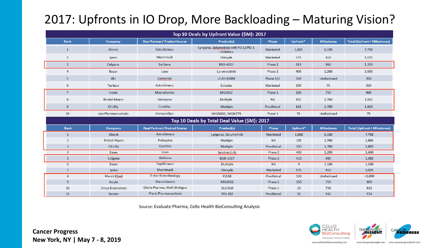## 2017: Upfronts in IO Drop, More Backloading – Maturing Vision?

|                |                          |                                     | Top 10 Deals by Upfront Value (\$M): 2017           |                 |              |                   |                                     |
|----------------|--------------------------|-------------------------------------|-----------------------------------------------------|-----------------|--------------|-------------------|-------------------------------------|
| Rank           | Company                  | <b>Deal Partner/ Product Source</b> | Product(s)                                          | Phase           | Upfront*     | <b>Milestones</b> | <b>Total (Upfront + Milestones)</b> |
| $\mathbf{1}$   | <b>Merck</b>             | AstraZeneca                         | Lynparza, Selumetinib with PD-L1/PD-1<br>inhibitors | Marketed        | 1,600        | 6,150             | 7.750                               |
| $\overline{2}$ | Ipsen                    | Merrimack                           | Onivyde                                             | <b>Marketed</b> | 575          | 450               | 1,025                               |
| $\mathbf{3}$   | Celgene                  | <b>BeiGene</b>                      | <b>BGB-A317</b>                                     | Phase 2         | 413          | 980               | 1,393                               |
| 4              | Bayer                    | Loxo                                | Larotrectinib                                       | Phase 2         | 400          | 1,200             | 1,600                               |
| 5              | J&J                      | Genscript                           | LCAR-B38M                                           | Phase 1/2       | 350          | Undisclosed       | 350                                 |
| 6              | <b>TerSera</b>           | AstraZeneca                         | Zoladex                                             | Marketed        | 250          | 70                | 320                                 |
| $\overline{7}$ | Incyte                   | <b>MacroGenics</b>                  | <b>MGA012</b>                                       | Phase 1         | 150          | 750               | 900                                 |
| 8              | <b>Bristol-Myers</b>     | Halozyme                            | Multiple                                            | <b>NA</b>       | 105          | 1,760             | 1,865                               |
| 9              | Eli Lilly                | CureVac                             | Multiple                                            | Preclinical     | 103          | 1,700             | 1,803                               |
| 10             | Jazz Pharmaceuticals     | ImmunoGen                           | <b>IMGN632, IMGN779</b>                             | Phase 1         | 75           | Undisclosed       | 75                                  |
|                |                          |                                     | Top 10 Deals by Total Deal Value (\$M): 2017        |                 |              |                   |                                     |
| Rank           | Company                  | <b>Deal Partner/ Product Source</b> | Product(s)                                          | Phase           | Upfront*     | <b>Milestones</b> | <b>Total (Upfront + Milestones)</b> |
| $\mathbf{1}$   | Merck                    | AstraZeneca                         | Lynparza, Selumetinib                               | Marketed        | 1,600        | 6,150             | 7,750                               |
| $\overline{2}$ | <b>Bristol-Myers</b>     | Halozyme                            | Multiple                                            | <b>NA</b>       | 105          | 1,760             | 1,865                               |
| 3              | Eli Lilly                | CureVac                             | Multiple                                            | Preclinical     | 103          | 1,700             | 1,803                               |
| 4              | Bayer                    | Loxo                                | larotrectinib                                       | Phase 2         | 400          | 1,200             | 1,600                               |
| 5              | Celgene                  | <b>BeiGene</b>                      | <b>BGB-A317</b>                                     | Phase 2         | 413          | 980               | 1,393                               |
| 6              | Bayer                    | PeptiDream                          | Multiple                                            | <b>NA</b>       | $\mathbf{0}$ | 1,100             | 1,100                               |
| $\overline{7}$ | Ipsen                    | Merrimack                           | Onivyde                                             | Marketed        | 575          | 450               | 1,025                               |
| 8              | Merck KGaA               | <b>F-star Biotechnology</b>         | <b>FS118</b>                                        | Preclinical     | 130          | Undisclosed       | >1,000                              |
| 9              | Incyte                   | <b>MacroGenics</b>                  | <b>MGA012</b>                                       | Phase 1         | 150          | 750               | 900                                 |
| 10             | <b>Arcus Biosciences</b> | Gloria Pharma, WuXi Biologics       | <b>GLS-010</b>                                      | Phase 1         | 19           | 798               | 816                                 |
| 11             | Servier                  | <b>Pieris Pharmaceuticals</b>       | <b>PRS-332</b>                                      | Preclinical     | 32           | 542               | 574                                 |

Source: Evaluate Pharma, Cello Health BioConsulting Analysis

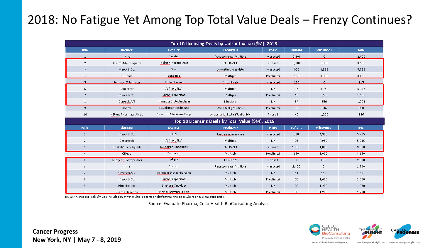### 2018: No Fatigue Yet Among Top Total Value Deals – Frenzy Continues?

| Top 10 Licensing Deals by Upfront Value (\$M): 2018 |                               |                               |                                                   |              |                |                   |              |  |  |
|-----------------------------------------------------|-------------------------------|-------------------------------|---------------------------------------------------|--------------|----------------|-------------------|--------------|--|--|
| Rank                                                | Licensee                      | Licensor                      | Product(s)                                        | <b>Phase</b> | <b>Upfront</b> | <b>Milestones</b> | <b>Total</b> |  |  |
| $\mathbf{1}$                                        | Shire                         | Servier.                      | Pegaspargase, Multiple                            | Marketed     | 2,400          | $\Omega$          | 2,400        |  |  |
| $\overline{2}$                                      | Bristol-Myers Squibb          | Nektar Therapeutics           | <b>NKTR-214</b>                                   | Phase 3      | 1,000          | 1,800             | 3,650        |  |  |
| 3                                                   | Merck & Co.                   | Eisai                         | Lenvatinib mesylate                               | Marketed     | 300            | 4,385             | 5,785        |  |  |
| 4                                                   | Gilead                        | Sangamo                       | Multiple                                          | Preclinical  | 150            | 3,000             | 3,150        |  |  |
| 5.                                                  | Johnson & Johnson             | EUSA Pharma                   | Siltuximab                                        | Marketed     | 115            | $\cup$            | 115          |  |  |
| 6                                                   | Genentech                     | Affimed N.V.                  | Multiple                                          | NA.          | 96             | 4,950             | 5,046        |  |  |
| 7                                                   | Merck & Co.                   | Sutro Biopharma               | Multiple                                          | Preclinical  | 60             | 1,600             | 1,660        |  |  |
| 8                                                   | Genmab A/S                    | Immatics Biotechnolgies       | Multiple                                          | NA.          | 54             | 550               | 1,704        |  |  |
| 9                                                   | Sanofi                        | Revolution Medicines          | RMC-4630, Multiple                                | Preclinical  | 50             | 346               | 550          |  |  |
| 10                                                  | <b>CStone Pharmaceuticals</b> | Blueprint Medicines Corp.     | Avapritinib, BLU-667, BLU-664                     | Phase 3      | 40             | 1,200             | 386          |  |  |
|                                                     |                               |                               | Top 10 Licensing Deals by Total Value (\$M): 2018 |              |                |                   |              |  |  |
| <b>Rank</b>                                         | Licensee                      | Licensor                      | Product(s)                                        | <b>Phase</b> | <b>Upfront</b> | <b>Milestones</b> | <b>Total</b> |  |  |
| $\mathbf{1}$                                        | Merck & Co.                   | Eisai                         | Lenvatinib mesylate                               | Marketed     | 300            | 4,385             | 5,785        |  |  |
| $\overline{2}$                                      | Genentech                     | Affimed N.V.                  | Multiple                                          | NA.          | 96             | 4,950             | 5,046        |  |  |
| 3                                                   | Bristol-Myers Squibb          | <b>Nektar Therapeutics</b>    | <b>NKTR-214</b>                                   | Phase 3      | 1,000          | 1,800             | 3,650        |  |  |
| $\overline{4}$                                      | Gilead                        | Sangamo                       | <b>Multiple</b>                                   | Preclinical  | 150            | 3,000             | 3,150        |  |  |
| 5                                                   | All ogene Therapeutics        | Pfizer                        | UCART19                                           | Phase 1      | $\overline{0}$ | 185               | 2,800        |  |  |
| 6                                                   | Shire                         | Servier                       | Pegaspargase, Multiple                            | Marketed     | 2,400          | $\overline{0}$    | 2,400        |  |  |
| 7                                                   | Genmab A/S                    | Immatics Biotechnologies      | Multiple                                          | <b>NA</b>    | 54             | 550               | 1,704        |  |  |
| 8                                                   | Merck & Co.                   | Sutro Biopharma               | Multiple                                          | Preclinical  | 60             | 1,600             | 1,660        |  |  |
| 9                                                   | Bluebird bio                  | Gristone Oncology             | Multiple                                          | NA.          | 20             | 1,200             | 1,230        |  |  |
| 10                                                  | <b>Seattle Genetics</b>       | <b>Pieris Pharmaceuticals</b> | Multiple                                          | Preclinical  | 30             | 1.200             | 1.230        |  |  |

BCIQ; NA (not applicable) = Can include deals with multiple agents or platform technologies where phase is not applicable.

Source: Evaluate Pharma, Cello Health BioConsulting Analysis

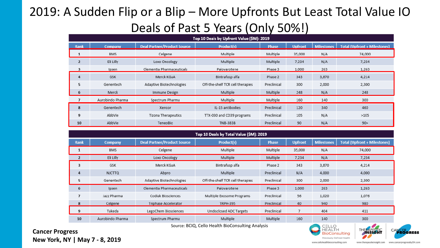## 2019: A Sudden Flip or a Blip – More Upfronts But Least Total Value IO Deals of Past 5 Years (Only 50%!)

|                | Top 10 Deals by Upfront Value (\$M): 2019 |                                    |                                  |              |                |                   |                                     |  |  |
|----------------|-------------------------------------------|------------------------------------|----------------------------------|--------------|----------------|-------------------|-------------------------------------|--|--|
| Rank           | Company                                   | <b>Deal Partner/Product Source</b> | <b>Product(s)</b>                | <b>Phase</b> | <b>Upfront</b> | <b>Milestones</b> | <b>Total (Upfront + Milestones)</b> |  |  |
| 1              | BMS                                       | Celgene                            | Multiple                         | Multiple     | 35,000         | N/A               | 74,000                              |  |  |
| $\overline{2}$ | Eli Lilly                                 | Loxo Oncology                      | Multiple                         | Multiple     | 7,234          | N/A               | 7,234                               |  |  |
| 3              | Ipsen                                     | Clementia Pharmaceuticals          | Palovarotene                     | Phase 3      | 1,000          | 263               | 1,263                               |  |  |
| 4              | <b>GSK</b>                                | Merck KGaA                         | Bintrafusp alfa                  | Phase 2      | 343            | 3,870             | 4,214                               |  |  |
| 5              | Genentech                                 | Adaptive Biotechnologies           | Off-the-shelf TCR cell therapies | Preclinical  | 300            | 2,000             | 2,300                               |  |  |
| 6              | Merck                                     | Immune Design                      | Multiple                         | Multiple     | 248            | N/A               | 248                                 |  |  |
| $\overline{ }$ | Aurobindo Pharma                          | Spectrum Pharma                    | Multiple                         | Multiple     | 160            | 140               | 300                                 |  |  |
| 8              | Genentech                                 | Xencor                             | IL-15 antibodies                 | Preclinical  | 120            | 340               | 460                                 |  |  |
| 9              | AbbVie                                    | Tizona Therapeutics                | TTX-030 and CD39 programs        | Preclinical  | 105            | N/A               | >105                                |  |  |
| 10             | AbbVie                                    | TeneoBio                           | <b>TNB-383B</b>                  | Preclinical  | 90             | N/A               | 90                                  |  |  |

|                | Top 10 Deals by Total Value (\$M): 2019 |                                    |                                  |              |                |                   |                                     |  |  |
|----------------|-----------------------------------------|------------------------------------|----------------------------------|--------------|----------------|-------------------|-------------------------------------|--|--|
| <b>Rank</b>    | <b>Company</b>                          | <b>Deal Partner/Product Source</b> | <b>Product(s)</b>                | <b>Phase</b> | <b>Upfront</b> | <b>Milestones</b> | <b>Total (Upfront + Milestones)</b> |  |  |
| 1              | <b>BMS</b>                              | Celgene                            | Multiple                         | Multiple     | 35,000         | N/A               | 74,000                              |  |  |
| $\overline{2}$ | Eli Lilly                               | Loxo Oncology                      | Multiple                         | Multiple     | 7,234          | N/A               | 7,234                               |  |  |
| 3              | GSK                                     | Merck KGaA                         | Bintrafusp alfa                  | Phase 2      | 343            | 3,870             | 4,214                               |  |  |
| 4              | <b>NJCTTQ</b>                           | Abpro                              | Multiple                         | Preclinical  | N/A            | 4,000             | 4,000                               |  |  |
| 5              | Genentech                               | Adaptive Biotechnologies           | Off-the-shelf TCR cell therapies | Preclinical  | 300            | 2,000             | 2,300                               |  |  |
| 6              | Ipsen                                   | Clementia Pharmaceuticals          | Palovarotene                     | Phase 3      | 1,000          | 263               | 1,263                               |  |  |
| $\overline{7}$ | Jazz Pharma                             | Codiak Biosciences                 | Multiple Exosome Programs        | Preclinical  | 56             | 1,020             | 1,076                               |  |  |
| 8              | Celgene                                 | Triphase Accelerator               | <b>TRPH-395</b>                  | Preclinical  | 40             | 940               | 980                                 |  |  |
| 9              | Takeda                                  | LegoChem Biosciences               | Undisclosed ADC Targets          | Preclinical  |                | 404               | 411                                 |  |  |
| 10             | Aurobindo Pharma                        | Spectrum Pharma                    | Multiple                         | Multiple     | 160            | 140               | 300                                 |  |  |

Source: BCIQ, Cello Health BioConsulting Analysis





**Cancer Progress New York, NY | May 7 - 8, 2019**

www.cellohealthbioconsulting.com

www.therapeuticinsight.com www.cancerprogressbyDH.com